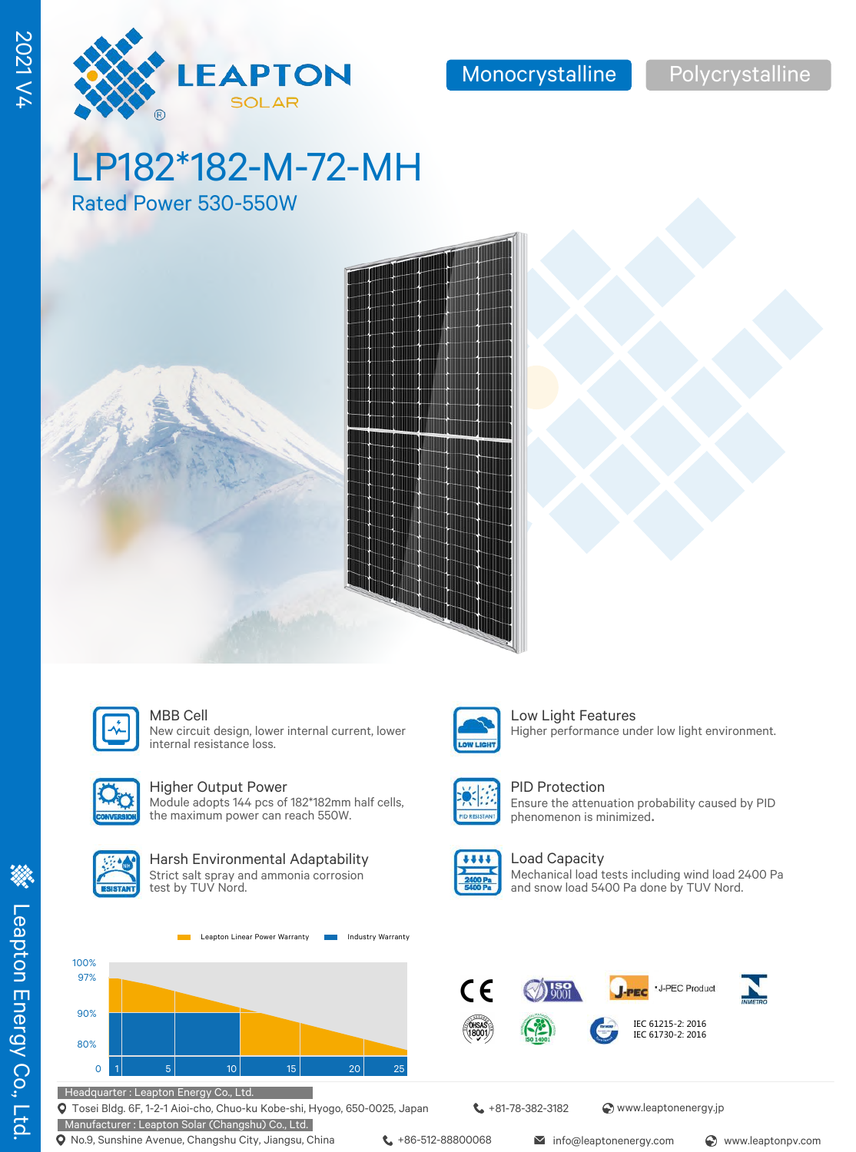LP182\*182-M-72-MH

LEAPTON **SOLAR** 

Rated Power 530-550W





### MBB Cell **Low Light Features**

New circuit design, lower internal current, lower internal resistance loss.



### Higher Output Power

Module adopts 144 pcs of 182\*182mm half cells, the maximum power can reach 550W.



### Harsh Environmental Adaptability Strict salt spray and ammonia corrosion

test by TUV Nord.



Tosei Bldg. 6F, 1-2-1 Aioi-cho, Chuo-ku Kobe-shi, Hyogo, 650-0025, Japan

Manufacturer : Leapton Solar (Changshu) Co., Ltd. **Q** No.9, Sunshine Avenue, Changshu City, Jiangsu, China  $\leftarrow$  +86-512-88800068 info@leaptonenergy.com  $\odot$  www.leaptonpv.com

**t** +81-78-382-3182 <br> **a** www.leaptonenergy.jp



**William** 

### PID Protection

Ensure the attenuation probability caused by PID phenomenon is minimized.

Higher performance under low light environment.

### Load Capacity

Mechanical load tests including wind load 2400 Pa and snow load 5400 Pa done by TUV Nord.